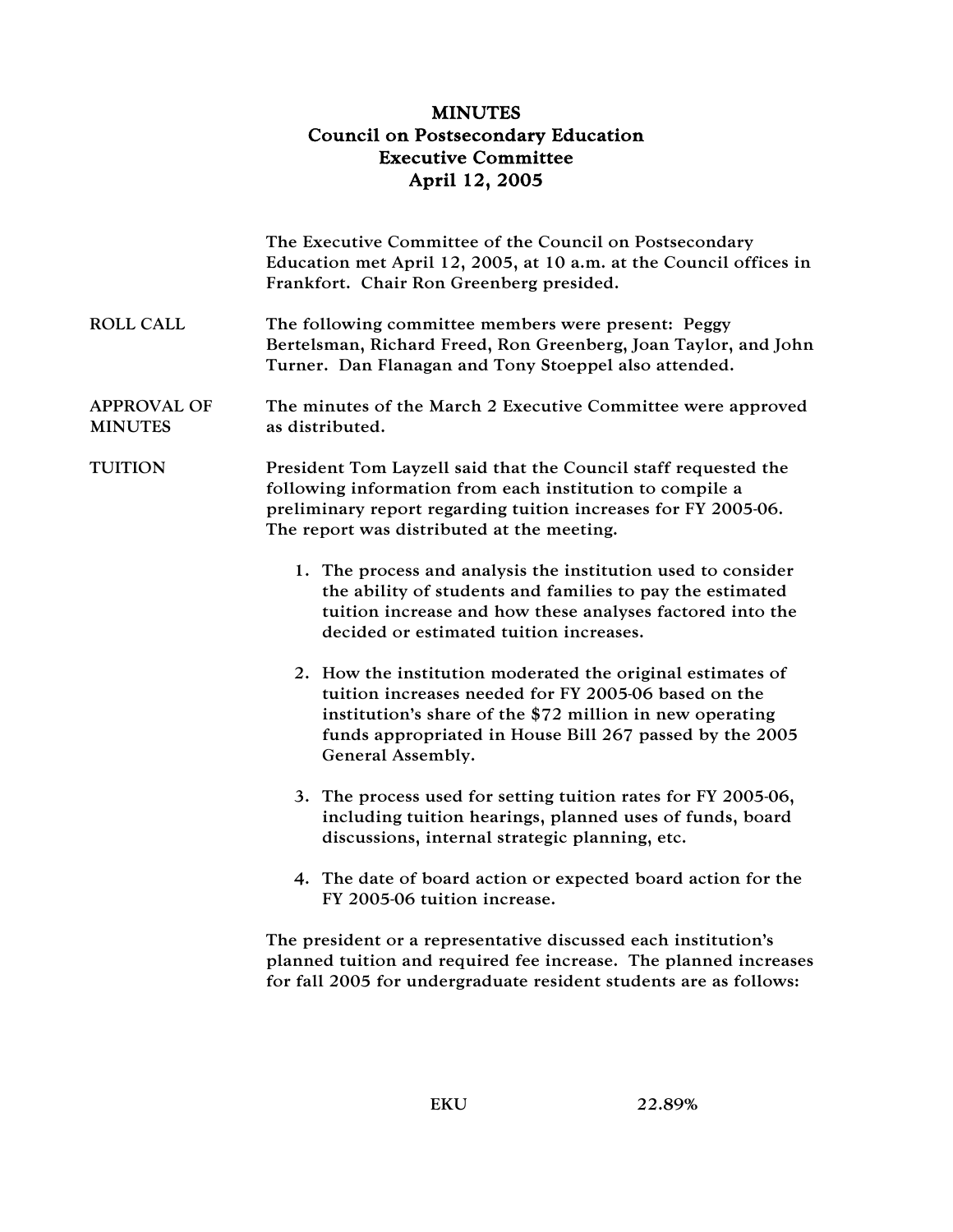## MINUTES Council on Postsecondary Education Executive Committee April 12, 2005

|                                      | The Executive Committee of the Council on Postsecondary<br>Education met April 12, 2005, at 10 a.m. at the Council offices in<br>Frankfort. Chair Ron Greenberg presided.                                                                                      |
|--------------------------------------|----------------------------------------------------------------------------------------------------------------------------------------------------------------------------------------------------------------------------------------------------------------|
| <b>ROLL CALL</b>                     | The following committee members were present: Peggy<br>Bertelsman, Richard Freed, Ron Greenberg, Joan Taylor, and John<br>Turner. Dan Flanagan and Tony Stoeppel also attended.                                                                                |
| <b>APPROVAL OF</b><br><b>MINUTES</b> | The minutes of the March 2 Executive Committee were approved<br>as distributed.                                                                                                                                                                                |
| <b>TUITION</b>                       | President Tom Layzell said that the Council staff requested the<br>following information from each institution to compile a<br>preliminary report regarding tuition increases for FY 2005-06.<br>The report was distributed at the meeting.                    |
|                                      | 1. The process and analysis the institution used to consider<br>the ability of students and families to pay the estimated<br>tuition increase and how these analyses factored into the<br>decided or estimated tuition increases.                              |
|                                      | 2. How the institution moderated the original estimates of<br>tuition increases needed for FY 2005-06 based on the<br>institution's share of the \$72 million in new operating<br>funds appropriated in House Bill 267 passed by the 2005<br>General Assembly. |
|                                      | 3. The process used for setting tuition rates for FY 2005-06,<br>including tuition hearings, planned uses of funds, board<br>discussions, internal strategic planning, etc.                                                                                    |
|                                      | 4. The date of board action or expected board action for the<br>FY 2005-06 tuition increase.                                                                                                                                                                   |
|                                      | The president or a representative discussed each institution's<br>planned tuition and required fee increase. The planned increases                                                                                                                             |

for fall 2005 for undergraduate resident students are as follows: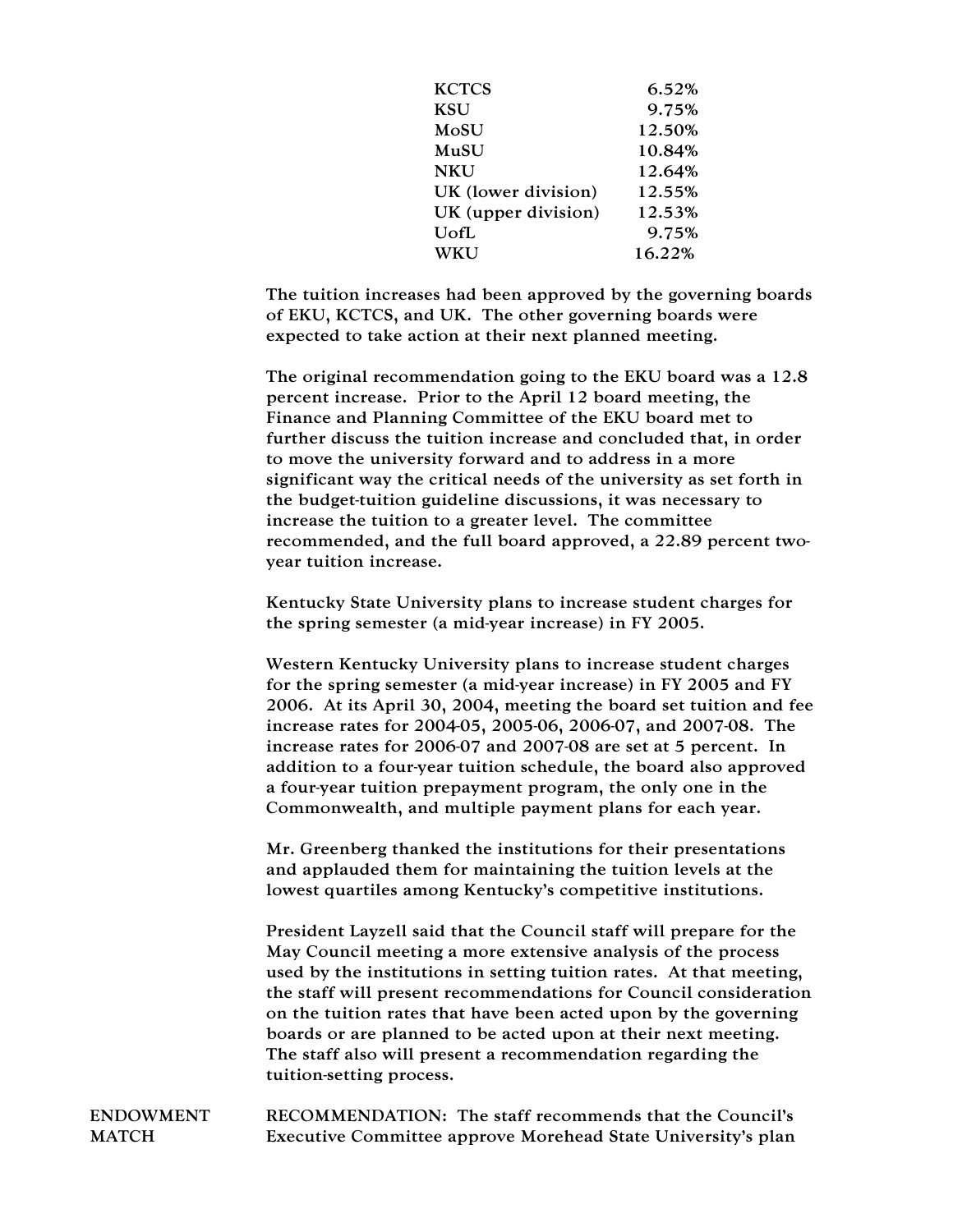| <b>KCTCS</b>        | 6.52%  |
|---------------------|--------|
| <b>KSU</b>          | 9.75%  |
| MoSU                | 12.50% |
| MuSU                | 10.84% |
| <b>NKU</b>          | 12.64% |
| UK (lower division) | 12.55% |
| UK (upper division) | 12.53% |
| UofL                | 9.75%  |
| WKU                 | 16.22% |

The tuition increases had been approved by the governing boards of EKU, KCTCS, and UK. The other governing boards were expected to take action at their next planned meeting.

The original recommendation going to the EKU board was a 12.8 percent increase. Prior to the April 12 board meeting, the Finance and Planning Committee of the EKU board met to further discuss the tuition increase and concluded that, in order to move the university forward and to address in a more significant way the critical needs of the university as set forth in the budget-tuition guideline discussions, it was necessary to increase the tuition to a greater level. The committee recommended, and the full board approved, a 22.89 percent twoyear tuition increase.

Kentucky State University plans to increase student charges for the spring semester (a mid-year increase) in FY 2005.

Western Kentucky University plans to increase student charges for the spring semester (a mid-year increase) in FY 2005 and FY 2006. At its April 30, 2004, meeting the board set tuition and fee increase rates for 2004-05, 2005-06, 2006-07, and 2007-08. The increase rates for 2006-07 and 2007-08 are set at 5 percent. In addition to a four-year tuition schedule, the board also approved a four-year tuition prepayment program, the only one in the Commonwealth, and multiple payment plans for each year.

Mr. Greenberg thanked the institutions for their presentations and applauded them for maintaining the tuition levels at the lowest quartiles among Kentucky's competitive institutions.

President Layzell said that the Council staff will prepare for the May Council meeting a more extensive analysis of the process used by the institutions in setting tuition rates. At that meeting, the staff will present recommendations for Council consideration on the tuition rates that have been acted upon by the governing boards or are planned to be acted upon at their next meeting. The staff also will present a recommendation regarding the tuition-setting process.

ENDOWMENT MATCH RECOMMENDATION: The staff recommends that the Council's Executive Committee approve Morehead State University's plan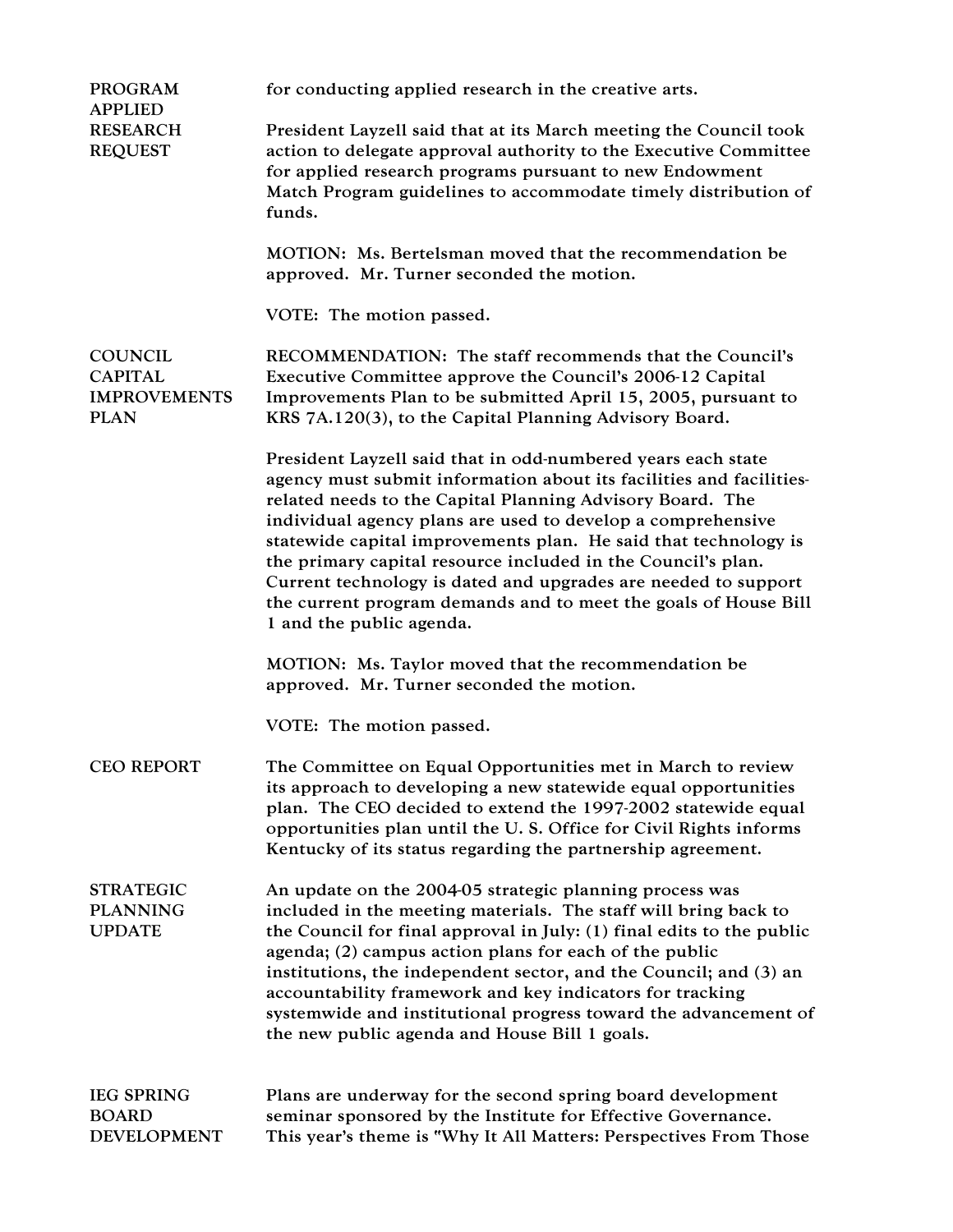| <b>PROGRAM</b><br><b>APPLIED</b>                                       | for conducting applied research in the creative arts.                                                                                                                                                                                                                                                                                                                                                                                                                                                                                                               |
|------------------------------------------------------------------------|---------------------------------------------------------------------------------------------------------------------------------------------------------------------------------------------------------------------------------------------------------------------------------------------------------------------------------------------------------------------------------------------------------------------------------------------------------------------------------------------------------------------------------------------------------------------|
| <b>RESEARCH</b><br><b>REQUEST</b>                                      | President Layzell said that at its March meeting the Council took<br>action to delegate approval authority to the Executive Committee<br>for applied research programs pursuant to new Endowment<br>Match Program guidelines to accommodate timely distribution of<br>funds.                                                                                                                                                                                                                                                                                        |
|                                                                        | MOTION: Ms. Bertelsman moved that the recommendation be<br>approved. Mr. Turner seconded the motion.                                                                                                                                                                                                                                                                                                                                                                                                                                                                |
|                                                                        | VOTE: The motion passed.                                                                                                                                                                                                                                                                                                                                                                                                                                                                                                                                            |
| <b>COUNCIL</b><br><b>CAPITAL</b><br><b>IMPROVEMENTS</b><br><b>PLAN</b> | RECOMMENDATION: The staff recommends that the Council's<br>Executive Committee approve the Council's 2006-12 Capital<br>Improvements Plan to be submitted April 15, 2005, pursuant to<br>KRS 7A.120(3), to the Capital Planning Advisory Board.                                                                                                                                                                                                                                                                                                                     |
|                                                                        | President Layzell said that in odd-numbered years each state<br>agency must submit information about its facilities and facilities-<br>related needs to the Capital Planning Advisory Board. The<br>individual agency plans are used to develop a comprehensive<br>statewide capital improvements plan. He said that technology is<br>the primary capital resource included in the Council's plan.<br>Current technology is dated and upgrades are needed to support<br>the current program demands and to meet the goals of House Bill<br>1 and the public agenda. |
|                                                                        | MOTION: Ms. Taylor moved that the recommendation be<br>approved. Mr. Turner seconded the motion.                                                                                                                                                                                                                                                                                                                                                                                                                                                                    |
|                                                                        | VOTE: The motion passed.                                                                                                                                                                                                                                                                                                                                                                                                                                                                                                                                            |
| <b>CEO REPORT</b>                                                      | The Committee on Equal Opportunities met in March to review<br>its approach to developing a new statewide equal opportunities<br>plan. The CEO decided to extend the 1997-2002 statewide equal<br>opportunities plan until the U.S. Office for Civil Rights informs<br>Kentucky of its status regarding the partnership agreement.                                                                                                                                                                                                                                  |
| <b>STRATEGIC</b><br><b>PLANNING</b><br><b>UPDATE</b>                   | An update on the 2004-05 strategic planning process was<br>included in the meeting materials. The staff will bring back to<br>the Council for final approval in July: (1) final edits to the public<br>agenda; (2) campus action plans for each of the public<br>institutions, the independent sector, and the Council; and (3) an<br>accountability framework and key indicators for tracking<br>systemwide and institutional progress toward the advancement of<br>the new public agenda and House Bill 1 goals.                                                  |
| <b>IEG SPRING</b><br><b>BOARD</b><br><b>DEVELOPMENT</b>                | Plans are underway for the second spring board development<br>seminar sponsored by the Institute for Effective Governance.<br>This year's theme is "Why It All Matters: Perspectives From Those                                                                                                                                                                                                                                                                                                                                                                     |